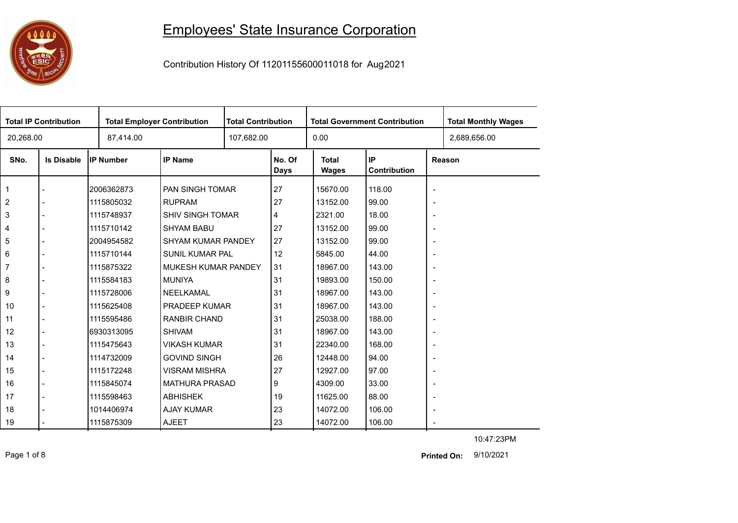## 0000 **ESIC**

## Employees' State Insurance Corporation

Contribution History Of 11201155600011018 for Aug2021

| <b>Total IP Contribution</b> |                   |             | <b>Total Employer Contribution</b> |  | <b>Total Contribution</b><br><b>Total Government Contribution</b> |                       |                    |                          | <b>Total Monthly Wages</b> |
|------------------------------|-------------------|-------------|------------------------------------|--|-------------------------------------------------------------------|-----------------------|--------------------|--------------------------|----------------------------|
| 20,268.00                    |                   | 87,414.00   |                                    |  |                                                                   | 0.00                  |                    |                          | 2,689,656.00               |
| SNo.                         | <b>Is Disable</b> | IP Number   | <b>IP Name</b>                     |  | No. Of<br>Days                                                    | <b>Total</b><br>Wages | IP<br>Contribution |                          | Reason                     |
|                              |                   | 2006362873  | PAN SINGH TOMAR                    |  | 27                                                                | 15670.00              | 118.00             | $\overline{\phantom{a}}$ |                            |
| $\overline{2}$               |                   | 1115805032  | <b>RUPRAM</b>                      |  | 27                                                                | 13152.00              | 99.00              | $\overline{\phantom{a}}$ |                            |
| 3                            |                   | 1115748937  | <b>SHIV SINGH TOMAR</b>            |  | 4                                                                 | 2321.00               | 18.00              | $\overline{\phantom{a}}$ |                            |
| $\overline{4}$               |                   | 1115710142  | <b>SHYAM BABU</b>                  |  | 27                                                                | 13152.00              | 99.00              | $\overline{\phantom{a}}$ |                            |
| 5                            |                   | 2004954582  | SHYAM KUMAR PANDEY                 |  | 27                                                                | 13152.00              | 99.00              | $\overline{\phantom{a}}$ |                            |
| 6                            |                   | 1115710144  | <b>SUNIL KUMAR PAL</b>             |  | 12                                                                | 5845.00               | 44.00              | $\overline{\phantom{a}}$ |                            |
| $\overline{7}$               |                   | 1115875322  | MUKESH KUMAR PANDEY                |  | 31                                                                | 18967.00              | 143.00             | $\overline{\phantom{a}}$ |                            |
| 8                            |                   | 1115584183  | <b>MUNIYA</b>                      |  | 31                                                                | 19893.00              | 150.00             | $\overline{\phantom{a}}$ |                            |
| 9                            |                   | 1115728006  | NEELKAMAL                          |  | 31                                                                | 18967.00              | 143.00             | $\overline{\phantom{a}}$ |                            |
| 10                           |                   | 1115625408  | PRADEEP KUMAR                      |  | 31                                                                | 18967.00              | 143.00             | $\overline{\phantom{a}}$ |                            |
| 11                           |                   | 1115595486  | <b>RANBIR CHAND</b>                |  | 31                                                                | 25038.00              | 188.00             | $\overline{\phantom{a}}$ |                            |
| 12                           |                   | 16930313095 | <b>SHIVAM</b>                      |  | 31                                                                | 18967.00              | 143.00             | $\overline{\phantom{a}}$ |                            |
| 13                           |                   | 1115475643  | <b>VIKASH KUMAR</b>                |  | 31                                                                | 22340.00              | 168.00             | $\overline{\phantom{a}}$ |                            |
| 14                           |                   | 1114732009  | <b>GOVIND SINGH</b>                |  | 26                                                                | 12448.00              | 94.00              | $\overline{\phantom{a}}$ |                            |
| 15                           |                   | 1115172248  | <b>VISRAM MISHRA</b>               |  | 27                                                                | 12927.00              | 97.00              | $\overline{\phantom{a}}$ |                            |
| 16                           |                   | 1115845074  | <b>MATHURA PRASAD</b>              |  | 9                                                                 | 4309.00               | 33.00              | $\overline{\phantom{a}}$ |                            |
| 17                           |                   | 1115598463  | <b>ABHISHEK</b>                    |  | 19                                                                | 11625.00              | 88.00              | $\blacksquare$           |                            |
| 18                           |                   | 1014406974  | <b>AJAY KUMAR</b>                  |  | 23                                                                | 14072.00              | 106.00             | $\overline{\phantom{a}}$ |                            |
| 19                           |                   | 1115875309  | <b>AJEET</b>                       |  | 23                                                                | 14072.00              | 106.00             |                          |                            |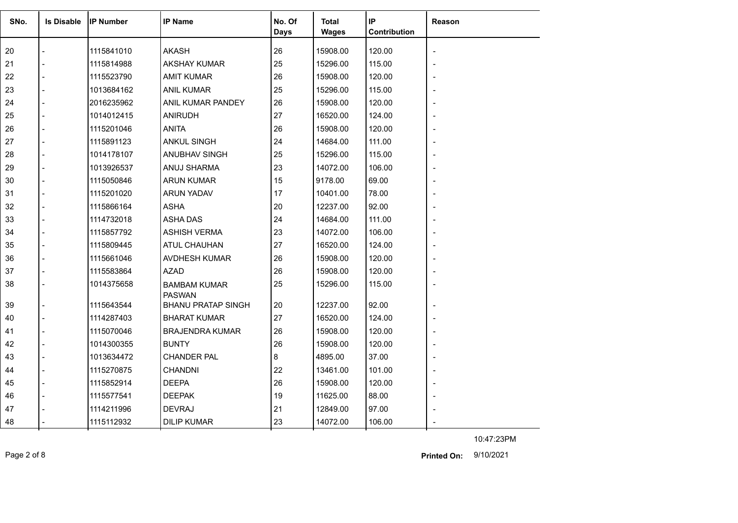| SNo. | <b>Is Disable</b> | <b>IP Number</b> | <b>IP Name</b>                       | No. Of | Total        | IP           | <b>Reason</b> |
|------|-------------------|------------------|--------------------------------------|--------|--------------|--------------|---------------|
|      |                   |                  |                                      | Days   | <b>Wages</b> | Contribution |               |
| 20   |                   | 1115841010       | <b>AKASH</b>                         | 26     | 15908.00     | 120.00       |               |
| 21   |                   | 1115814988       | <b>AKSHAY KUMAR</b>                  | 25     | 15296.00     | 115.00       |               |
| 22   |                   | 1115523790       | <b>AMIT KUMAR</b>                    | 26     | 15908.00     | 120.00       |               |
| 23   |                   | 1013684162       | <b>ANIL KUMAR</b>                    | 25     | 15296.00     | 115.00       |               |
| 24   |                   | 2016235962       | ANIL KUMAR PANDEY                    | 26     | 15908.00     | 120.00       |               |
| 25   |                   | 1014012415       | <b>ANIRUDH</b>                       | 27     | 16520.00     | 124.00       |               |
| 26   |                   | 1115201046       | <b>ANITA</b>                         | 26     | 15908.00     | 120.00       |               |
| 27   |                   | 1115891123       | <b>ANKUL SINGH</b>                   | 24     | 14684.00     | 111.00       |               |
| 28   |                   | 1014178107       | ANUBHAV SINGH                        | 25     | 15296.00     | 115.00       |               |
| 29   |                   | 1013926537       | ANUJ SHARMA                          | 23     | 14072.00     | 106.00       |               |
| 30   |                   | 1115050846       | <b>ARUN KUMAR</b>                    | 15     | 9178.00      | 69.00        |               |
| 31   |                   | 1115201020       | ARUN YADAV                           | 17     | 10401.00     | 78.00        |               |
| 32   |                   | 1115866164       | <b>ASHA</b>                          | 20     | 12237.00     | 92.00        |               |
| 33   |                   | 1114732018       | <b>ASHA DAS</b>                      | 24     | 14684.00     | 111.00       |               |
| 34   |                   | 1115857792       | <b>ASHISH VERMA</b>                  | 23     | 14072.00     | 106.00       |               |
| 35   |                   | 1115809445       | <b>ATUL CHAUHAN</b>                  | 27     | 16520.00     | 124.00       |               |
| 36   |                   | 1115661046       | AVDHESH KUMAR                        | 26     | 15908.00     | 120.00       |               |
| 37   |                   | 1115583864       | <b>AZAD</b>                          | 26     | 15908.00     | 120.00       |               |
| 38   |                   | 1014375658       | <b>BAMBAM KUMAR</b><br><b>PASWAN</b> | 25     | 15296.00     | 115.00       |               |
| 39   |                   | 1115643544       | <b>BHANU PRATAP SINGH</b>            | 20     | 12237.00     | 92.00        |               |
| 40   |                   | 1114287403       | <b>BHARAT KUMAR</b>                  | 27     | 16520.00     | 124.00       |               |
| 41   |                   | 1115070046       | <b>BRAJENDRA KUMAR</b>               | 26     | 15908.00     | 120.00       |               |
| 42   |                   | 1014300355       | <b>BUNTY</b>                         | 26     | 15908.00     | 120.00       |               |
| 43   |                   | 1013634472       | <b>CHANDER PAL</b>                   | 8      | 4895.00      | 37.00        |               |
| 44   |                   | 1115270875       | <b>CHANDNI</b>                       | 22     | 13461.00     | 101.00       |               |
| 45   |                   | 1115852914       | <b>DEEPA</b>                         | 26     | 15908.00     | 120.00       |               |
| 46   |                   | 1115577541       | <b>DEEPAK</b>                        | 19     | 11625.00     | 88.00        |               |
| 47   |                   | 1114211996       | <b>DEVRAJ</b>                        | 21     | 12849.00     | 97.00        |               |
| 48   |                   | 1115112932       | <b>DILIP KUMAR</b>                   | 23     | 14072.00     | 106.00       |               |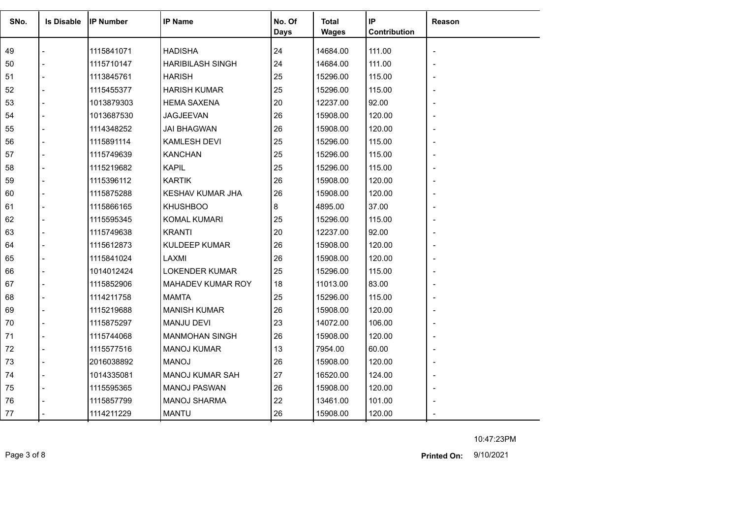| SNo. | <b>Is Disable</b> | <b>IP Number</b> | <b>IP Name</b>          | No. Of<br><b>Days</b> | <b>Total</b><br>Wages | IP<br>Contribution | <b>Reason</b> |
|------|-------------------|------------------|-------------------------|-----------------------|-----------------------|--------------------|---------------|
| 49   |                   | 1115841071       | <b>HADISHA</b>          | 24                    | 14684.00              | 111.00             |               |
| 50   |                   | 1115710147       | <b>HARIBILASH SINGH</b> | 24                    | 14684.00              | 111.00             |               |
| 51   |                   | 1113845761       | <b>HARISH</b>           | 25                    | 15296.00              | 115.00             |               |
| 52   |                   | 1115455377       | <b>HARISH KUMAR</b>     | 25                    | 15296.00              | 115.00             |               |
| 53   |                   | 1013879303       | <b>HEMA SAXENA</b>      | 20                    | 12237.00              | 92.00              |               |
| 54   |                   | 1013687530       | <b>JAGJEEVAN</b>        | 26                    | 15908.00              | 120.00             |               |
| 55   |                   | 1114348252       | <b>JAI BHAGWAN</b>      | 26                    | 15908.00              | 120.00             |               |
| 56   |                   | 1115891114       | <b>KAMLESH DEVI</b>     | 25                    | 15296.00              | 115.00             |               |
| 57   |                   | 1115749639       | <b>KANCHAN</b>          | 25                    | 15296.00              | 115.00             |               |
| 58   |                   | 1115219682       | <b>KAPIL</b>            | 25                    | 15296.00              | 115.00             |               |
| 59   |                   | 1115396112       | <b>KARTIK</b>           | 26                    | 15908.00              | 120.00             |               |
| 60   |                   | 1115875288       | <b>KESHAV KUMAR JHA</b> | 26                    | 15908.00              | 120.00             |               |
| 61   |                   | 1115866165       | <b>KHUSHBOO</b>         | 8                     | 4895.00               | 37.00              |               |
| 62   |                   | 1115595345       | <b>KOMAL KUMARI</b>     | 25                    | 15296.00              | 115.00             |               |
| 63   |                   | 1115749638       | <b>KRANTI</b>           | 20                    | 12237.00              | 92.00              |               |
| 64   |                   | 1115612873       | <b>KULDEEP KUMAR</b>    | 26                    | 15908.00              | 120.00             |               |
| 65   |                   | 1115841024       | LAXMI                   | 26                    | 15908.00              | 120.00             |               |
| 66   |                   | 1014012424       | <b>LOKENDER KUMAR</b>   | 25                    | 15296.00              | 115.00             |               |
| 67   |                   | 1115852906       | MAHADEV KUMAR ROY       | 18                    | 11013.00              | 83.00              |               |
| 68   |                   | 1114211758       | <b>MAMTA</b>            | 25                    | 15296.00              | 115.00             |               |
| 69   |                   | 1115219688       | <b>MANISH KUMAR</b>     | 26                    | 15908.00              | 120.00             |               |
| 70   |                   | 1115875297       | <b>MANJU DEVI</b>       | 23                    | 14072.00              | 106.00             |               |
| 71   |                   | 1115744068       | <b>MANMOHAN SINGH</b>   | 26                    | 15908.00              | 120.00             |               |
| 72   |                   | 1115577516       | <b>MANOJ KUMAR</b>      | 13                    | 7954.00               | 60.00              |               |
| 73   |                   | 2016038892       | <b>MANOJ</b>            | 26                    | 15908.00              | 120.00             |               |
| 74   |                   | 1014335081       | <b>MANOJ KUMAR SAH</b>  | 27                    | 16520.00              | 124.00             |               |
| 75   |                   | 1115595365       | <b>MANOJ PASWAN</b>     | 26                    | 15908.00              | 120.00             |               |
| 76   |                   | 1115857799       | <b>MANOJ SHARMA</b>     | 22                    | 13461.00              | 101.00             |               |
| 77   |                   | 1114211229       | <b>MANTU</b>            | 26                    | 15908.00              | 120.00             |               |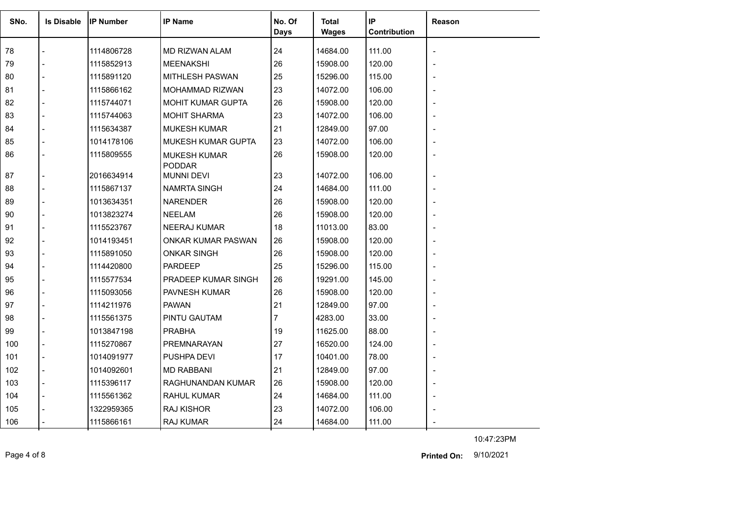| SNo. | <b>Is Disable</b> | <b>IP Number</b> | <b>IP Name</b>                       | No. Of<br><b>Days</b> | <b>Total</b><br><b>Wages</b> | IP<br>Contribution | Reason |
|------|-------------------|------------------|--------------------------------------|-----------------------|------------------------------|--------------------|--------|
| 78   |                   | 1114806728       | MD RIZWAN ALAM                       | 24                    | 14684.00                     | 111.00             |        |
| 79   |                   | 1115852913       | <b>MEENAKSHI</b>                     | 26                    | 15908.00                     | 120.00             |        |
| 80   |                   | 1115891120       | <b>MITHLESH PASWAN</b>               | 25                    | 15296.00                     | 115.00             |        |
| 81   |                   | 1115866162       | <b>MOHAMMAD RIZWAN</b>               | 23                    | 14072.00                     | 106.00             |        |
| 82   |                   | 1115744071       | <b>MOHIT KUMAR GUPTA</b>             | 26                    | 15908.00                     | 120.00             |        |
| 83   |                   | 1115744063       | <b>MOHIT SHARMA</b>                  | 23                    | 14072.00                     | 106.00             |        |
| 84   |                   | 1115634387       | <b>MUKESH KUMAR</b>                  | 21                    | 12849.00                     | 97.00              |        |
| 85   |                   | 1014178106       | <b>MUKESH KUMAR GUPTA</b>            | 23                    | 14072.00                     | 106.00             |        |
| 86   |                   | 1115809555       | <b>MUKESH KUMAR</b><br><b>PODDAR</b> | 26                    | 15908.00                     | 120.00             |        |
| 87   |                   | 2016634914       | <b>MUNNI DEVI</b>                    | 23                    | 14072.00                     | 106.00             |        |
| 88   |                   | 1115867137       | <b>NAMRTA SINGH</b>                  | 24                    | 14684.00                     | 111.00             |        |
| 89   |                   | 1013634351       | <b>NARENDER</b>                      | 26                    | 15908.00                     | 120.00             |        |
| 90   |                   | 1013823274       | <b>NEELAM</b>                        | 26                    | 15908.00                     | 120.00             |        |
| 91   |                   | 1115523767       | <b>NEERAJ KUMAR</b>                  | 18                    | 11013.00                     | 83.00              |        |
| 92   |                   | 1014193451       | ONKAR KUMAR PASWAN                   | 26                    | 15908.00                     | 120.00             |        |
| 93   |                   | 1115891050       | <b>ONKAR SINGH</b>                   | 26                    | 15908.00                     | 120.00             |        |
| 94   |                   | 1114420800       | <b>PARDEEP</b>                       | 25                    | 15296.00                     | 115.00             |        |
| 95   |                   | 1115577534       | PRADEEP KUMAR SINGH                  | 26                    | 19291.00                     | 145.00             |        |
| 96   |                   | 1115093056       | <b>PAVNESH KUMAR</b>                 | 26                    | 15908.00                     | 120.00             |        |
| 97   |                   | 1114211976       | <b>PAWAN</b>                         | 21                    | 12849.00                     | 97.00              |        |
| 98   |                   | 1115561375       | PINTU GAUTAM                         | 7                     | 4283.00                      | 33.00              |        |
| 99   |                   | 1013847198       | <b>PRABHA</b>                        | 19                    | 11625.00                     | 88.00              |        |
| 100  |                   | 1115270867       | <b>PREMNARAYAN</b>                   | 27                    | 16520.00                     | 124.00             |        |
| 101  |                   | 1014091977       | <b>PUSHPA DEVI</b>                   | 17                    | 10401.00                     | 78.00              |        |
| 102  |                   | 1014092601       | <b>MD RABBANI</b>                    | 21                    | 12849.00                     | 97.00              |        |
| 103  |                   | 1115396117       | RAGHUNANDAN KUMAR                    | 26                    | 15908.00                     | 120.00             |        |
| 104  |                   | 1115561362       | <b>RAHUL KUMAR</b>                   | 24                    | 14684.00                     | 111.00             |        |
| 105  |                   | 1322959365       | <b>RAJ KISHOR</b>                    | 23                    | 14072.00                     | 106.00             |        |
| 106  |                   | 1115866161       | RAJ KUMAR                            | 24                    | 14684.00                     | 111.00             |        |

Page 4 of 8 9/10/2021 **Printed On:**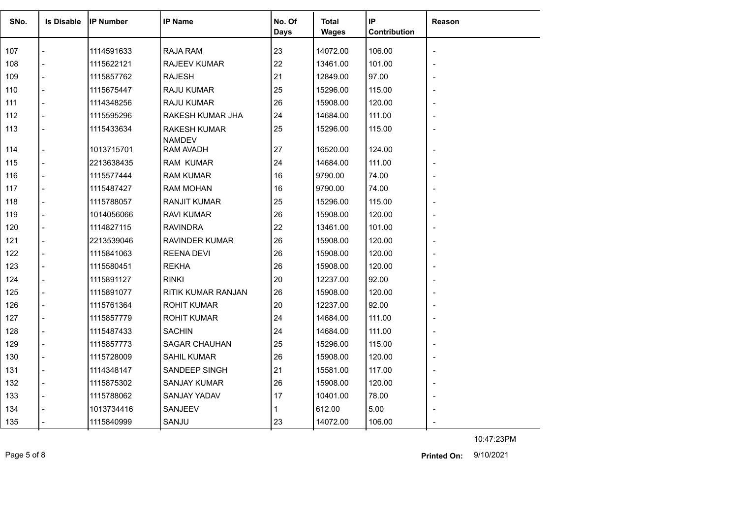| SNo. | <b>Is Disable</b>        | <b>IIP Number</b> | <b>IP Name</b>                       | No. Of      | <b>Total</b> | IP           | <b>Reason</b> |
|------|--------------------------|-------------------|--------------------------------------|-------------|--------------|--------------|---------------|
|      |                          |                   |                                      | <b>Days</b> | <b>Wages</b> | Contribution |               |
| 107  |                          | 1114591633        | RAJA RAM                             | 23          | 14072.00     | 106.00       |               |
| 108  |                          | 1115622121        | RAJEEV KUMAR                         | 22          | 13461.00     | 101.00       |               |
| 109  |                          | 1115857762        | <b>RAJESH</b>                        | 21          | 12849.00     | 97.00        |               |
| 110  |                          | 1115675447        | <b>RAJU KUMAR</b>                    | 25          | 15296.00     | 115.00       |               |
| 111  | $\overline{a}$           | 1114348256        | RAJU KUMAR                           | 26          | 15908.00     | 120.00       |               |
| 112  | $\overline{a}$           | 1115595296        | RAKESH KUMAR JHA                     | 24          | 14684.00     | 111.00       |               |
| 113  |                          | 1115433634        | <b>RAKESH KUMAR</b><br><b>NAMDEV</b> | 25          | 15296.00     | 115.00       |               |
| 114  | $\overline{a}$           | 1013715701        | RAM AVADH                            | 27          | 16520.00     | 124.00       |               |
| 115  |                          | 2213638435        | RAM KUMAR                            | 24          | 14684.00     | 111.00       |               |
| 116  |                          | 1115577444        | <b>RAM KUMAR</b>                     | 16          | 9790.00      | 74.00        |               |
| 117  |                          | 1115487427        | <b>RAM MOHAN</b>                     | 16          | 9790.00      | 74.00        |               |
| 118  |                          | 1115788057        | <b>RANJIT KUMAR</b>                  | 25          | 15296.00     | 115.00       |               |
| 119  |                          | 1014056066        | <b>RAVI KUMAR</b>                    | 26          | 15908.00     | 120.00       |               |
| 120  | $\overline{a}$           | 1114827115        | <b>RAVINDRA</b>                      | 22          | 13461.00     | 101.00       |               |
| 121  |                          | 2213539046        | <b>RAVINDER KUMAR</b>                | 26          | 15908.00     | 120.00       |               |
| 122  |                          | 1115841063        | <b>REENA DEVI</b>                    | 26          | 15908.00     | 120.00       |               |
| 123  | $\blacksquare$           | 1115580451        | <b>REKHA</b>                         | 26          | 15908.00     | 120.00       |               |
| 124  | $\blacksquare$           | 1115891127        | <b>RINKI</b>                         | 20          | 12237.00     | 92.00        |               |
| 125  | $\blacksquare$           | 1115891077        | RITIK KUMAR RANJAN                   | 26          | 15908.00     | 120.00       |               |
| 126  | $\blacksquare$           | 1115761364        | <b>ROHIT KUMAR</b>                   | 20          | 12237.00     | 92.00        |               |
| 127  | $\overline{\phantom{a}}$ | 1115857779        | <b>ROHIT KUMAR</b>                   | 24          | 14684.00     | 111.00       |               |
| 128  |                          | 1115487433        | <b>SACHIN</b>                        | 24          | 14684.00     | 111.00       |               |
| 129  | $\overline{a}$           | 1115857773        | <b>SAGAR CHAUHAN</b>                 | 25          | 15296.00     | 115.00       |               |
| 130  | $\overline{\phantom{a}}$ | 1115728009        | <b>SAHIL KUMAR</b>                   | 26          | 15908.00     | 120.00       |               |
| 131  | $\blacksquare$           | 1114348147        | SANDEEP SINGH                        | 21          | 15581.00     | 117.00       |               |
| 132  |                          | 1115875302        | <b>SANJAY KUMAR</b>                  | 26          | 15908.00     | 120.00       |               |
| 133  | $\blacksquare$           | 1115788062        | SANJAY YADAV                         | 17          | 10401.00     | 78.00        |               |
| 134  |                          | 1013734416        | SANJEEV                              |             | 612.00       | 5.00         |               |
| 135  |                          | 1115840999        | SANJU                                | 23          | 14072.00     | 106.00       |               |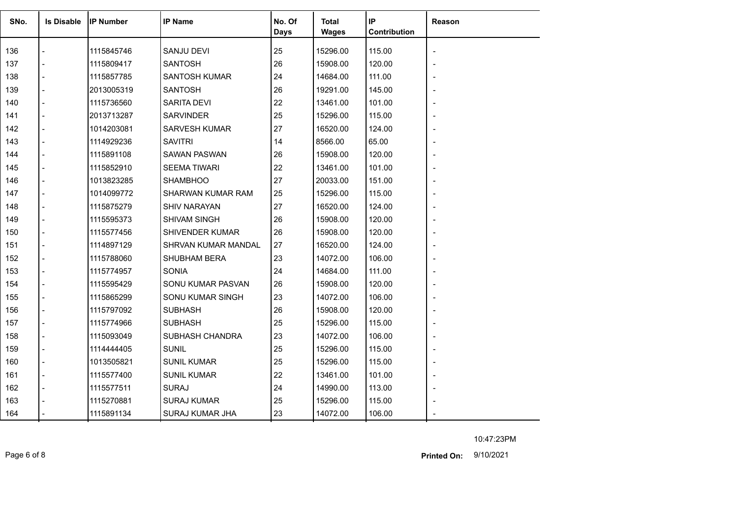| SNo. | <b>Is Disable</b> | <b>IP Number</b> | <b>IP Name</b>       | No. Of<br><b>Days</b> | Total<br><b>Wages</b> | IP<br>Contribution | Reason         |
|------|-------------------|------------------|----------------------|-----------------------|-----------------------|--------------------|----------------|
| 136  |                   | 1115845746       | SANJU DEVI           | 25                    | 15296.00              | 115.00             |                |
| 137  |                   | 1115809417       | <b>SANTOSH</b>       | 26                    | 15908.00              | 120.00             |                |
| 138  |                   | 1115857785       | <b>SANTOSH KUMAR</b> | 24                    | 14684.00              | 111.00             |                |
| 139  |                   | 2013005319       | <b>SANTOSH</b>       | 26                    | 19291.00              | 145.00             |                |
| 140  |                   | 1115736560       | SARITA DEVI          | 22                    | 13461.00              | 101.00             |                |
| 141  |                   | 2013713287       | <b>SARVINDER</b>     | 25                    | 15296.00              | 115.00             |                |
| 142  |                   | 1014203081       | SARVESH KUMAR        | 27                    | 16520.00              | 124.00             |                |
| 143  |                   | 1114929236       | <b>SAVITRI</b>       | 14                    | 8566.00               | 65.00              |                |
| 144  |                   | 1115891108       | <b>SAWAN PASWAN</b>  | 26                    | 15908.00              | 120.00             |                |
| 145  |                   | 1115852910       | <b>SEEMA TIWARI</b>  | 22                    | 13461.00              | 101.00             | $\blacksquare$ |
| 146  |                   | 1013823285       | <b>SHAMBHOO</b>      | 27                    | 20033.00              | 151.00             |                |
| 147  |                   | 1014099772       | SHARWAN KUMAR RAM    | 25                    | 15296.00              | 115.00             |                |
| 148  |                   | 1115875279       | <b>SHIV NARAYAN</b>  | 27                    | 16520.00              | 124.00             |                |
| 149  |                   | 1115595373       | <b>SHIVAM SINGH</b>  | 26                    | 15908.00              | 120.00             |                |
| 150  |                   | 1115577456       | SHIVENDER KUMAR      | 26                    | 15908.00              | 120.00             |                |
| 151  |                   | 1114897129       | SHRVAN KUMAR MANDAL  | 27                    | 16520.00              | 124.00             |                |
| 152  |                   | 1115788060       | SHUBHAM BERA         | 23                    | 14072.00              | 106.00             |                |
| 153  |                   | 1115774957       | <b>SONIA</b>         | 24                    | 14684.00              | 111.00             |                |
| 154  |                   | 1115595429       | SONU KUMAR PASVAN    | 26                    | 15908.00              | 120.00             |                |
| 155  |                   | 1115865299       | SONU KUMAR SINGH     | 23                    | 14072.00              | 106.00             |                |
| 156  |                   | 1115797092       | <b>SUBHASH</b>       | 26                    | 15908.00              | 120.00             |                |
| 157  |                   | 1115774966       | <b>SUBHASH</b>       | 25                    | 15296.00              | 115.00             |                |
| 158  |                   | 1115093049       | SUBHASH CHANDRA      | 23                    | 14072.00              | 106.00             |                |
| 159  |                   | 1114444405       | <b>SUNIL</b>         | 25                    | 15296.00              | 115.00             |                |
| 160  |                   | 1013505821       | <b>SUNIL KUMAR</b>   | 25                    | 15296.00              | 115.00             |                |
| 161  |                   | 1115577400       | <b>SUNIL KUMAR</b>   | 22                    | 13461.00              | 101.00             | $\blacksquare$ |
| 162  |                   | 1115577511       | <b>SURAJ</b>         | 24                    | 14990.00              | 113.00             |                |
| 163  |                   | 1115270881       | <b>SURAJ KUMAR</b>   | 25                    | 15296.00              | 115.00             |                |
| 164  |                   | 1115891134       | SURAJ KUMAR JHA      | 23                    | 14072.00              | 106.00             |                |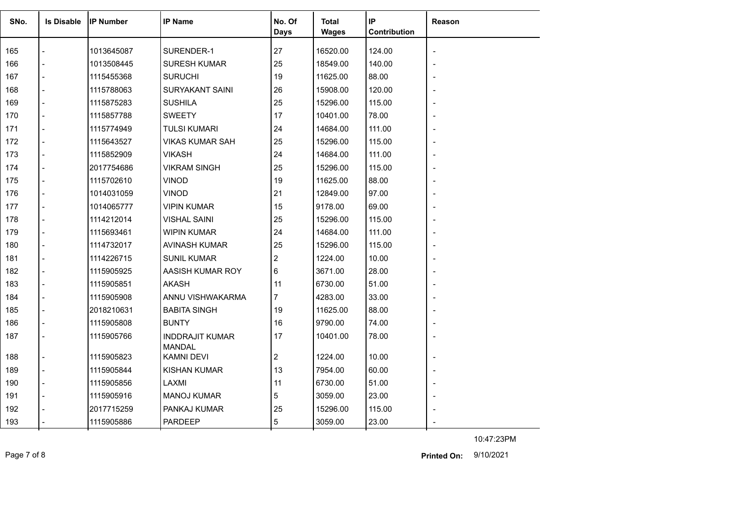| SNo. | <b>Is Disable</b> | <b>IIP Number</b> | <b>IP Name</b>                          | No. Of         | Total        | IP           | <b>Reason</b> |
|------|-------------------|-------------------|-----------------------------------------|----------------|--------------|--------------|---------------|
|      |                   |                   |                                         | <b>Days</b>    | <b>Wages</b> | Contribution |               |
| 165  |                   | 1013645087        | SURENDER-1                              | 27             | 16520.00     | 124.00       |               |
| 166  |                   | 1013508445        | <b>SURESH KUMAR</b>                     | 25             | 18549.00     | 140.00       |               |
| 167  |                   | 1115455368        | <b>SURUCHI</b>                          | 19             | 11625.00     | 88.00        |               |
| 168  |                   | 1115788063        | <b>SURYAKANT SAINI</b>                  | 26             | 15908.00     | 120.00       |               |
| 169  |                   | 1115875283        | <b>SUSHILA</b>                          | 25             | 15296.00     | 115.00       |               |
| 170  |                   | 1115857788        | <b>SWEETY</b>                           | 17             | 10401.00     | 78.00        |               |
| 171  |                   | 1115774949        | <b>TULSI KUMARI</b>                     | 24             | 14684.00     | 111.00       |               |
| 172  |                   | 1115643527        | <b>VIKAS KUMAR SAH</b>                  | 25             | 15296.00     | 115.00       |               |
| 173  |                   | 1115852909        | <b>VIKASH</b>                           | 24             | 14684.00     | 111.00       |               |
| 174  |                   | 2017754686        | <b>VIKRAM SINGH</b>                     | 25             | 15296.00     | 115.00       |               |
| 175  |                   | 1115702610        | <b>VINOD</b>                            | 19             | 11625.00     | 88.00        |               |
| 176  |                   | 1014031059        | <b>VINOD</b>                            | 21             | 12849.00     | 97.00        |               |
| 177  |                   | 1014065777        | <b>VIPIN KUMAR</b>                      | 15             | 9178.00      | 69.00        |               |
| 178  |                   | 1114212014        | <b>VISHAL SAINI</b>                     | 25             | 15296.00     | 115.00       |               |
| 179  |                   | 1115693461        | <b>WIPIN KUMAR</b>                      | 24             | 14684.00     | 111.00       |               |
| 180  |                   | 1114732017        | AVINASH KUMAR                           | 25             | 15296.00     | 115.00       |               |
| 181  |                   | 1114226715        | <b>SUNIL KUMAR</b>                      | 2              | 1224.00      | 10.00        |               |
| 182  |                   | 1115905925        | AASISH KUMAR ROY                        | 6              | 3671.00      | 28.00        |               |
| 183  |                   | 1115905851        | <b>AKASH</b>                            | 11             | 6730.00      | 51.00        |               |
| 184  |                   | 1115905908        | ANNU VISHWAKARMA                        | 7              | 4283.00      | 33.00        |               |
| 185  |                   | 2018210631        | <b>BABITA SINGH</b>                     | 19             | 11625.00     | 88.00        |               |
| 186  |                   | 1115905808        | <b>BUNTY</b>                            | 16             | 9790.00      | 74.00        |               |
| 187  | $\blacksquare$    | 1115905766        | <b>INDDRAJIT KUMAR</b><br><b>MANDAL</b> | 17             | 10401.00     | 78.00        |               |
| 188  | $\overline{a}$    | 1115905823        | KAMNI DEVI                              | $\overline{c}$ | 1224.00      | 10.00        |               |
| 189  | $\overline{a}$    | 1115905844        | <b>KISHAN KUMAR</b>                     | 13             | 7954.00      | 60.00        |               |
| 190  |                   | 1115905856        | LAXMI                                   | 11             | 6730.00      | 51.00        |               |
| 191  |                   | 1115905916        | <b>MANOJ KUMAR</b>                      | 5              | 3059.00      | 23.00        |               |
| 192  |                   | 2017715259        | PANKAJ KUMAR                            | 25             | 15296.00     | 115.00       |               |
| 193  |                   | 1115905886        | PARDEEP                                 | 5              | 3059.00      | 23.00        |               |